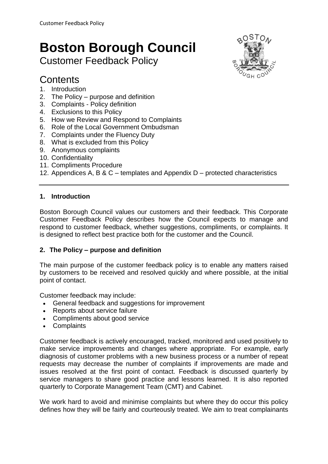# **Boston Borough Council**

# Customer Feedback Policy

# **Contents**

- 1. Introduction
- 2. The Policy purpose and definition
- 3. Complaints Policy definition
- 4. Exclusions to this Policy
- 5. How we Review and Respond to Complaints
- 6. Role of the Local Government Ombudsman
- 7. Complaints under the Fluency Duty
- 8. What is excluded from this Policy
- 9. Anonymous complaints
- 10. Confidentiality
- 11. Compliments Procedure
- 12. Appendices A, B & C templates and Appendix D protected characteristics

### **1. Introduction**

Boston Borough Council values our customers and their feedback. This Corporate Customer Feedback Policy describes how the Council expects to manage and respond to customer feedback, whether suggestions, compliments, or complaints. It is designed to reflect best practice both for the customer and the Council.

#### **2. The Policy – purpose and definition**

The main purpose of the customer feedback policy is to enable any matters raised by customers to be received and resolved quickly and where possible, at the initial point of contact.

Customer feedback may include:

- General feedback and suggestions for improvement
- Reports about service failure
- Compliments about good service
- Complaints

Customer feedback is actively encouraged, tracked, monitored and used positively to make service improvements and changes where appropriate. For example, early diagnosis of customer problems with a new business process or a number of repeat requests may decrease the number of complaints if improvements are made and issues resolved at the first point of contact. Feedback is discussed quarterly by service managers to share good practice and lessons learned. It is also reported quarterly to Corporate Management Team (CMT) and Cabinet.

We work hard to avoid and minimise complaints but where they do occur this policy defines how they will be fairly and courteously treated. We aim to treat complainants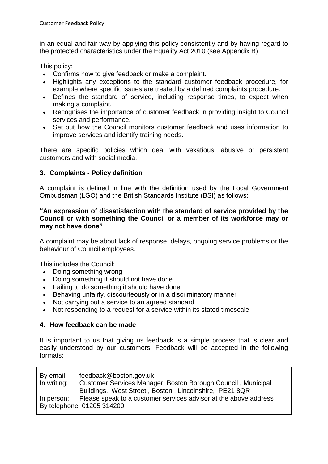in an equal and fair way by applying this policy consistently and by having regard to the protected characteristics under the Equality Act 2010 (see Appendix B)

This policy:

- Confirms how to give feedback or make a complaint.
- Highlights any exceptions to the standard customer feedback procedure, for example where specific issues are treated by a defined complaints procedure.
- Defines the standard of service, including response times, to expect when making a complaint.
- Recognises the importance of customer feedback in providing insight to Council services and performance.
- Set out how the Council monitors customer feedback and uses information to improve services and identify training needs.

There are specific policies which deal with vexatious, abusive or persistent customers and with social media.

### **3. Complaints - [Policy definition](http://www.bathnes.gov.uk/services/your-council-and-democracy/complaints-and-customer-feedback/complaints-procedure#policydefinition)**

A complaint is defined in line with the definition used by the Local Government Ombudsman (LGO) and the British Standards Institute (BSI) as follows:

#### **"An expression of dissatisfaction with the standard of service provided by the Council or with something the Council or a member of its workforce may or may not have done"**

A complaint may be about lack of response, delays, ongoing service problems or the behaviour of Council employees.

This includes the Council:

- Doing something wrong
- Doing something it should not have done
- Failing to do something it should have done
- Behaving unfairly, discourteously or in a discriminatory manner
- Not carrying out a service to an agreed standard
- Not responding to a request for a service within its stated timescale

#### **4. How feedback can be made**

It is important to us that giving us feedback is a simple process that is clear and easily understood by our customers. Feedback will be accepted in the following formats:

| By email:   | feedback@boston.gov.uk                                           |
|-------------|------------------------------------------------------------------|
| In writing: | Customer Services Manager, Boston Borough Council, Municipal     |
|             | Buildings, West Street, Boston, Lincolnshire, PE21 8QR           |
| In person:  | Please speak to a customer services advisor at the above address |
|             | By telephone: 01205 314200                                       |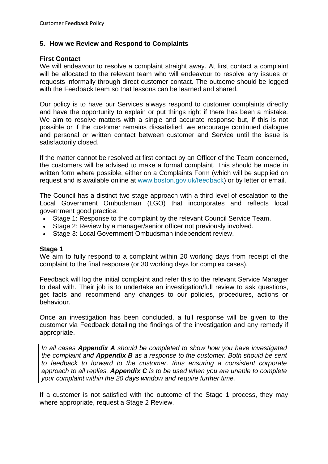### **5. How we Review and Respond to Complaints**

#### **First Contact**

We will endeavour to resolve a complaint straight away. At first contact a complaint will be allocated to the relevant team who will endeavour to resolve any issues or requests informally through direct customer contact. The outcome should be logged with the Feedback team so that lessons can be learned and shared.

Our policy is to have our Services always respond to customer complaints directly and have the opportunity to explain or put things right if there has been a mistake. We aim to resolve matters with a single and accurate response but, if this is not possible or if the customer remains dissatisfied, we encourage continued dialogue and personal or written contact between customer and Service until the issue is satisfactorily closed.

If the matter cannot be resolved at first contact by an Officer of the Team concerned, the customers will be advised to make a formal complaint. This should be made in written form where possible, either on a Complaints Form (which will be supplied on request and is available online at [www.boston.gov.uk/feedback\)](http://www.boston.gov.uk/feedback) or by letter or email.

The Council has a distinct two stage approach with a third level of escalation to the Local Government Ombudsman (LGO) that incorporates and reflects local government good practice:

- Stage 1: Response to the complaint by the relevant Council Service Team.
- Stage 2: Review by a manager/senior officer not previously involved.
- Stage 3: Local Government Ombudsman independent review.

#### **Stage 1**

We aim to fully respond to a complaint within 20 working days from receipt of the complaint to the final response (or 30 working days for complex cases).

Feedback will log the initial complaint and refer this to the relevant Service Manager to deal with. Their job is to undertake an investigation/full review to ask questions, get facts and recommend any changes to our policies, procedures, actions or behaviour.

Once an investigation has been concluded, a full response will be given to the customer via Feedback detailing the findings of the investigation and any remedy if appropriate.

*In all cases Appendix A should be completed to show how you have investigated the complaint and Appendix B as a response to the customer. Both should be sent to feedback to forward to the customer, thus ensuring a consistent corporate approach to all replies. Appendix C is to be used when you are unable to complete your complaint within the 20 days window and require further time.*

If a customer is not satisfied with the outcome of the Stage 1 process, they may where appropriate, request a Stage 2 Review.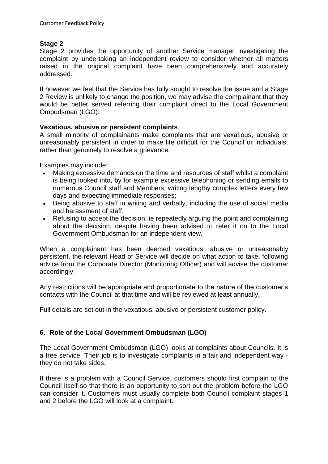# **Stage 2**

Stage 2 provides the opportunity of another Service manager investigating the complaint by undertaking an independent review to consider whether all matters raised in the original complaint have been comprehensively and accurately addressed.

If however we feel that the Service has fully sought to resolve the issue and a Stage 2 Review is unlikely to change the position, we may advise the complainant that they would be better served referring their complaint direct to the Local Government Ombudsman (LGO).

# **Vexatious, abusive or persistent complaints**

A small minority of complainants make complaints that are vexatious, abusive or unreasonably persistent in order to make life difficult for the Council or individuals, rather than genuinely to resolve a grievance.

Examples may include:

- Making excessive demands on the time and resources of staff whilst a complaint is being looked into, by for example excessive telephoning or sending emails to numerous Council staff and Members, writing lengthy complex letters every few days and expecting immediate responses;
- Being abusive to staff in writing and verbally, including the use of social media and harassment of staff;
- Refusing to accept the decision, ie repeatedly arguing the point and complaining about the decision, despite having been advised to refer it on to the Local Government Ombudsman for an independent view.

When a complainant has been deemed vexatious, abusive or unreasonably persistent, the relevant Head of Service will decide on what action to take, following advice from the Corporate Director (Monitoring Officer) and will advise the customer accordingly.

Any restrictions will be appropriate and proportionate to the nature of the customer's contacts with the Council at that time and will be reviewed at least annually.

Full details are set out in the vexatious, abusive or persistent customer policy.

# **6. Role of the Local Government Ombudsman (LGO)**

The Local Government Ombudsman (LGO) looks at complaints about Councils. It is a free service. Their job is to investigate complaints in a fair and independent way they do not take sides.

If there is a problem with a Council Service, customers should first complain to the Council itself so that there is an opportunity to sort out the problem before the LGO can consider it. Customers must usually complete both Council complaint stages 1 and 2 before the LGO will look at a complaint.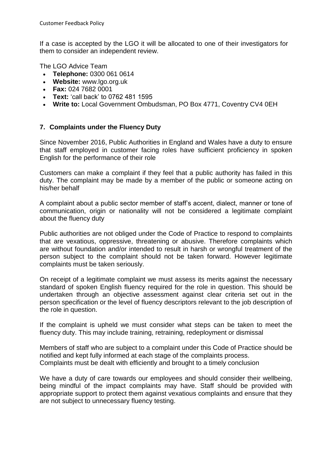If a case is accepted by the LGO it will be allocated to one of their investigators for them to consider an independent review.

The LGO Advice Team

- **Telephone:** 0300 061 0614
- **Website:** [www.lgo.org.uk](http://www.lgo.org.uk/)
- **Fax:** 024 7682 0001
- **Text:** 'call back' to 0762 481 1595
- **Write to:** Local Government Ombudsman, PO Box 4771, Coventry CV4 0EH

# **7. Complaints under the Fluency Duty**

Since November 2016, Public Authorities in England and Wales have a duty to ensure that staff employed in customer facing roles have sufficient proficiency in spoken English for the performance of their role

Customers can make a complaint if they feel that a public authority has failed in this duty. The complaint may be made by a member of the public or someone acting on his/her behalf

A complaint about a public sector member of staff's accent, dialect, manner or tone of communication, origin or nationality will not be considered a legitimate complaint about the fluency duty

Public authorities are not obliged under the Code of Practice to respond to complaints that are vexatious, oppressive, threatening or abusive. Therefore complaints which are without foundation and/or intended to result in harsh or wrongful treatment of the person subject to the complaint should not be taken forward. However legitimate complaints must be taken seriously.

On receipt of a legitimate complaint we must assess its merits against the necessary standard of spoken English fluency required for the role in question. This should be undertaken through an objective assessment against clear criteria set out in the person specification or the level of fluency descriptors relevant to the job description of the role in question.

If the complaint is upheld we must consider what steps can be taken to meet the fluency duty. This may include training, retraining, redeployment or dismissal

Members of staff who are subject to a complaint under this Code of Practice should be notified and kept fully informed at each stage of the complaints process. Complaints must be dealt with efficiently and brought to a timely conclusion

We have a duty of care towards our employees and should consider their wellbeing, being mindful of the impact complaints may have. Staff should be provided with appropriate support to protect them against vexatious complaints and ensure that they are not subject to unnecessary fluency testing.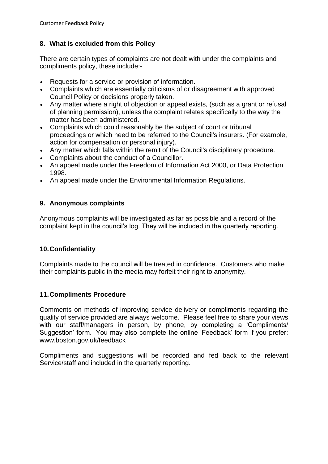# **8. What is excluded from this Policy**

There are certain types of complaints are not dealt with under the complaints and compliments policy, these include:-

- Requests for a service or provision of information.
- Complaints which are essentially criticisms of or disagreement with approved Council Policy or decisions properly taken.
- Any matter where a right of objection or appeal exists, (such as a grant or refusal of planning permission), unless the complaint relates specifically to the way the matter has been administered.
- Complaints which could reasonably be the subject of court or tribunal proceedings or which need to be referred to the Council's insurers. (For example, action for compensation or personal injury).
- Any matter which falls within the remit of the Council's disciplinary procedure.
- Complaints about the conduct of a Councillor.
- An appeal made under the Freedom of Information Act 2000, or Data Protection 1998.
- An appeal made under the Environmental Information Regulations.

# **9. Anonymous complaints**

Anonymous complaints will be investigated as far as possible and a record of the complaint kept in the council's log. They will be included in the quarterly reporting.

# **10.Confidentiality**

Complaints made to the council will be treated in confidence. Customers who make their complaints public in the media may forfeit their right to anonymity.

# **11.Compliments Procedure**

Comments on methods of improving service delivery or compliments regarding the quality of service provided are always welcome. Please feel free to share your views with our staff/managers in person, by phone, by completing a 'Compliments/ Suggestion' form. You may also complete the online 'Feedback' form if you prefer: [www.boston.gov.uk/feedback](http://www.boston.gov.uk/feedback)

Compliments and suggestions will be recorded and fed back to the relevant Service/staff and included in the quarterly reporting.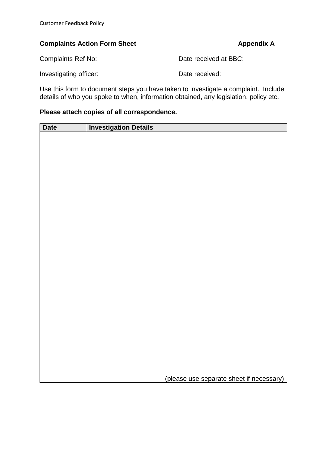# **Complaints Action Form Sheet Appendix A**

Complaints Ref No: Date received at BBC:

Investigating officer: Date received:

Use this form to document steps you have taken to investigate a complaint. Include details of who you spoke to when, information obtained, any legislation, policy etc.

#### **Please attach copies of all correspondence.**

| <b>Investigation Details</b><br><b>Date</b> |                                          |
|---------------------------------------------|------------------------------------------|
|                                             |                                          |
|                                             |                                          |
|                                             |                                          |
|                                             |                                          |
|                                             |                                          |
|                                             |                                          |
|                                             |                                          |
|                                             |                                          |
|                                             |                                          |
|                                             |                                          |
|                                             |                                          |
|                                             |                                          |
|                                             |                                          |
|                                             |                                          |
|                                             |                                          |
|                                             |                                          |
|                                             |                                          |
|                                             |                                          |
|                                             |                                          |
|                                             |                                          |
|                                             |                                          |
|                                             |                                          |
|                                             |                                          |
|                                             |                                          |
|                                             |                                          |
|                                             |                                          |
|                                             |                                          |
|                                             |                                          |
|                                             | (please use separate sheet if necessary) |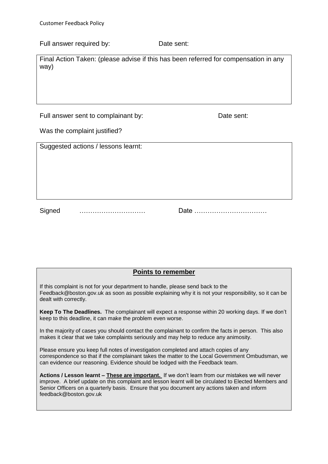| Full answer required by: |
|--------------------------|
|--------------------------|

Final Action Taken: (please advise if this has been referred for compensation in any way)

Date sent:

Full answer sent to complainant by: Date sent:

Was the complaint justified?

|        | Suggested actions / lessons learnt: |  |
|--------|-------------------------------------|--|
|        |                                     |  |
|        |                                     |  |
|        |                                     |  |
|        |                                     |  |
|        |                                     |  |
|        |                                     |  |
|        |                                     |  |
| Signed |                                     |  |

#### **Points to remember**

If this complaint is not for your department to handle, please send back to the [Feedback@boston.gov.uk](mailto:Feedback@boston.gov.uk) as soon as possible explaining why it is not your responsibility, so it can be dealt with correctly.

2. **Keep To The Deadlines.** The complainant will expect a response within 20 working days. If we don't keep to this deadline, it can make the problem even worse.

In the majority of cases you should contact the complainant to confirm the facts in person. This also makes it clear that we take complaints seriously and may help to reduce any animosity.

Please ensure you keep full notes of investigation completed and attach copies of any correspondence so that if the complainant takes the matter to the Local Government Ombudsman, we can evidence our reasoning. Evidence should be lodged with the Feedback team.

5. **Actions / Lesson learnt – These are important.** If we don't learn from our mistakes we will never improve. A brief update on this complaint and lesson learnt will be circulated to Elected Members and Senior Officers on a quarterly basis. Ensure that you document any actions taken and inform [feedback@boston.gov.uk](mailto:feedback@boston.gov.uk)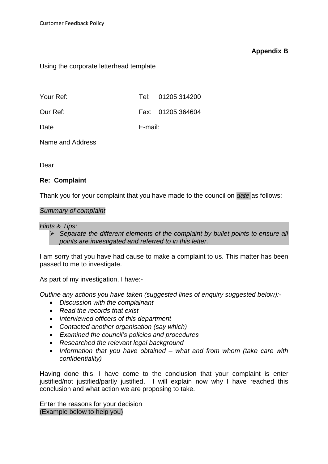#### **Appendix B**

Using the corporate letterhead template

| Your Ref: |         | Tel: 01205 314200 |
|-----------|---------|-------------------|
| Our Ref:  |         | Fax: 01205 364604 |
| Date      | E-mail: |                   |

Name and Address

Dear

#### **Re: Complaint**

Thank you for your complaint that you have made to the council on *date* as follows:

#### *Summary of complaint*

#### *Hints & Tips:*

 *Separate the different elements of the complaint by bullet points to ensure all points are investigated and referred to in this letter.*

I am sorry that you have had cause to make a complaint to us. This matter has been passed to me to investigate.

As part of my investigation, I have:-

*Outline any actions you have taken (suggested lines of enquiry suggested below):-*

- *Discussion with the complainant*
- *Read the records that exist*
- *Interviewed officers of this department*
- *Contacted another organisation (say which)*
- *Examined the council's policies and procedures*
- *Researched the relevant legal background*
- *Information that you have obtained – what and from whom (take care with confidentiality)*

Having done this, I have come to the conclusion that your complaint is enter justified/not justified/partly justified. I will explain now why I have reached this conclusion and what action we are proposing to take.

Enter the reasons for your decision (Example below to help you)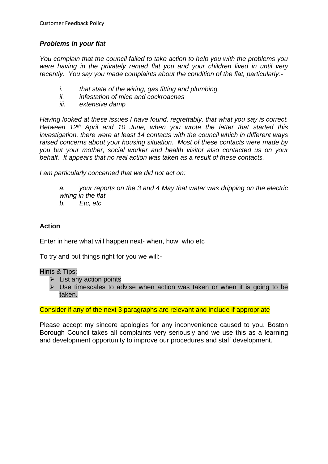# *Problems in your flat*

*You complain that the council failed to take action to help you with the problems you were having in the privately rented flat you and your children lived in until very recently. You say you made complaints about the condition of the flat, particularly:-*

- *i. that state of the wiring, gas fitting and plumbing*
- *ii. infestation of mice and cockroaches*
- *iii. extensive damp*

*Having looked at these issues I have found, regrettably, that what you say is correct. Between 12th April and 10 June, when you wrote the letter that started this investigation, there were at least 14 contacts with the council which in different ways raised concerns about your housing situation. Most of these contacts were made by you but your mother, social worker and health visitor also contacted us on your behalf. It appears that no real action was taken as a result of these contacts.*

*I am particularly concerned that we did not act on:*

*a. your reports on the 3 and 4 May that water was dripping on the electric wiring in the flat*

*b. Etc, etc*

### **Action**

Enter in here what will happen next- when, how, who etc

To try and put things right for you we will:-

Hints & Tips:

- $\triangleright$  List any action points
- $\triangleright$  Use timescales to advise when action was taken or when it is going to be taken.

Consider if any of the next 3 paragraphs are relevant and include if appropriate

Please accept my sincere apologies for any inconvenience caused to you. Boston Borough Council takes all complaints very seriously and we use this as a learning and development opportunity to improve our procedures and staff development.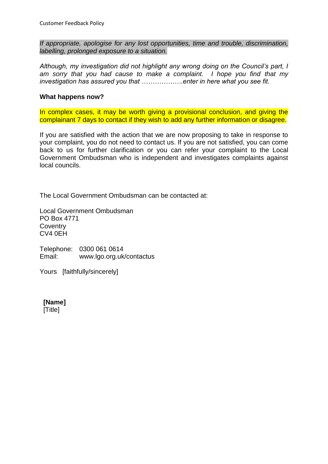*If appropriate, apologise for any lost opportunities, time and trouble, discrimination, labelling, prolonged exposure to a situation.*

*Although, my investigation did not highlight any wrong doing on the Council's part, I am sorry that you had cause to make a complaint. I hope you find that my investigation has assured you that ……………….enter in here what you see fit.*

#### **What happens now?**

In complex cases, it may be worth giving a provisional conclusion, and giving the complainant 7 days to contact if they wish to add any further information or disagree.

If you are satisfied with the action that we are now proposing to take in response to your complaint, you do not need to contact us. If you are not satisfied, you can come back to us for further clarification or you can refer your complaint to the Local Government Ombudsman who is independent and investigates complaints against local councils.

The Local Government Ombudsman can be contacted at:

Local Government Ombudsman PO Box 4771 **Coventry** CV4 0EH

Telephone: 0300 061 0614 Email: [www.lgo.org.uk/contactus](http://www.lgo.org.uk/contactus)

Yours [faithfully/sincerely]

**[Name]** [Title]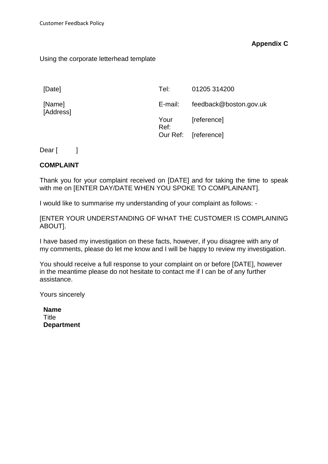# **Appendix C**

#### Using the corporate letterhead template

| [Date]              | Tel:         | 01205 314200           |
|---------------------|--------------|------------------------|
| [Name]<br>[Address] | E-mail:      | feedback@boston.gov.uk |
|                     | Your<br>Ref: | [reference]            |
|                     |              | Our Ref: [reference]   |

Dear [ ]

#### **COMPLAINT**

Thank you for your complaint received on [DATE] and for taking the time to speak with me on [ENTER DAY/DATE WHEN YOU SPOKE TO COMPLAINANT].

I would like to summarise my understanding of your complaint as follows: -

[ENTER YOUR UNDERSTANDING OF WHAT THE CUSTOMER IS COMPLAINING ABOUT].

I have based my investigation on these facts, however, if you disagree with any of my comments, please do let me know and I will be happy to review my investigation.

You should receive a full response to your complaint on or before [DATE], however in the meantime please do not hesitate to contact me if I can be of any further assistance.

Yours sincerely

**Name Title Department**